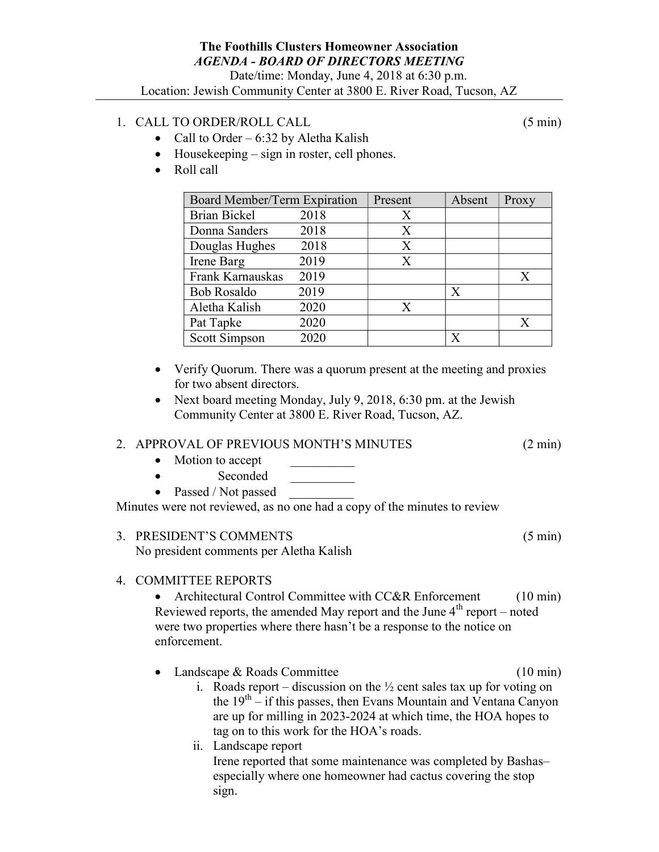## 1. CALL TO ORDER/ROLL CALL (5 min)

- Call to Order  $6:32$  by Aletha Kalish
- Housekeeping sign in roster, cell phones.
- Roll call

| Board Member/Term Expiration |      | Present | Absent | Proxy |
|------------------------------|------|---------|--------|-------|
| <b>Brian Bickel</b>          | 2018 | Χ       |        |       |
| Donna Sanders                | 2018 | X       |        |       |
| Douglas Hughes               | 2018 | X       |        |       |
| Irene Barg                   | 2019 | X       |        |       |
| Frank Karnauskas             | 2019 |         |        | X     |
| <b>Bob Rosaldo</b>           | 2019 |         | X      |       |
| Aletha Kalish                | 2020 | X       |        |       |
| Pat Tapke                    | 2020 |         |        | X     |
| Scott Simpson                | 2020 |         |        |       |

- Verify Quorum. There was a quorum present at the meeting and proxies for two absent directors.
- Next board meeting Monday, July 9, 2018, 6:30 pm. at the Jewish Community Center at 3800 E. River Road, Tucson, AZ.

## 2. APPROVAL OF PREVIOUS MONTH'S MINUTES (2 min)

- Motion to accept
- Seconded
- Passed / Not passed

Minutes were not reviewed, as no one had a copy of the minutes to review

3. PRESIDENT'S COMMENTS (5 min) No president comments per Aletha Kalish

## 4. COMMITTEE REPORTS

• Architectural Control Committee with CC&R Enforcement (10 min) Reviewed reports, the amended May report and the June  $4<sup>th</sup>$  report – noted were two properties where there hasn't be a response to the notice on enforcement.

- Landscape & Roads Committee (10 min)
	- i. Roads report discussion on the  $\frac{1}{2}$  cent sales tax up for voting on the  $19<sup>th</sup> - if this passes, then Evans Mountain and Ventana Canyon$ are up for milling in 2023-2024 at which time, the HOA hopes to tag on to this work for the HOA's roads.
	- ii. Landscape report Irene reported that some maintenance was completed by Bashas– especially where one homeowner had cactus covering the stop sign.